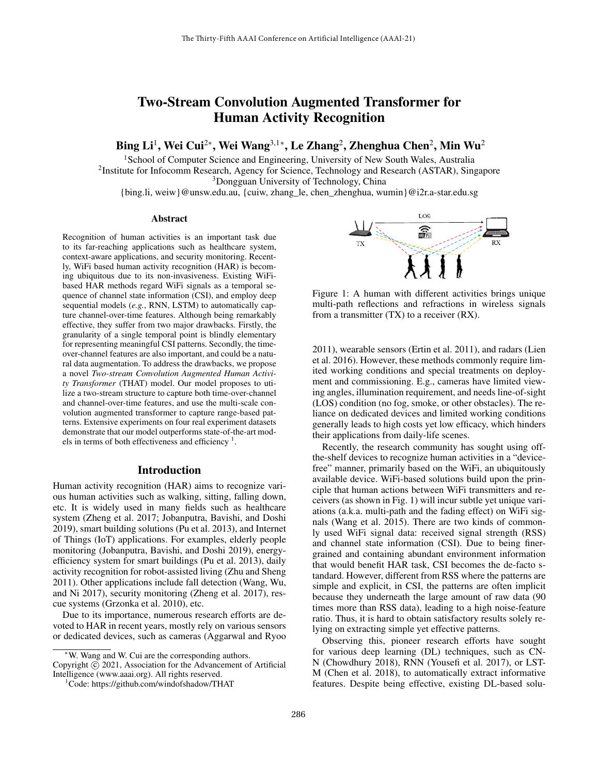# Two-Stream Convolution Augmented Transformer for Human Activity Recognition

Bing Li<sup>1</sup>, Wei Cui<sup>2∗</sup>, Wei Wang<sup>3,1</sup>\*, Le Zhang<sup>2</sup>, Zhenghua Chen<sup>2</sup>, Min Wu<sup>2</sup>

<sup>1</sup> School of Computer Science and Engineering, University of New South Wales, Australia

<sup>2</sup>Institute for Infocomm Research, Agency for Science, Technology and Research (ASTAR), Singapore <sup>3</sup>Dongguan University of Technology, China

{bing.li, weiw}@unsw.edu.au, {cuiw, zhang\_le, chen\_zhenghua, wumin}@i2r.a-star.edu.sg

#### Abstract

Recognition of human activities is an important task due to its far-reaching applications such as healthcare system, context-aware applications, and security monitoring. Recently, WiFi based human activity recognition (HAR) is becoming ubiquitous due to its non-invasiveness. Existing WiFibased HAR methods regard WiFi signals as a temporal sequence of channel state information (CSI), and employ deep sequential models (*e.g.*, RNN, LSTM) to automatically capture channel-over-time features. Although being remarkably effective, they suffer from two major drawbacks. Firstly, the granularity of a single temporal point is blindly elementary for representing meaningful CSI patterns. Secondly, the timeover-channel features are also important, and could be a natural data augmentation. To address the drawbacks, we propose a novel *Two-stream Convolution Augmented Human Activity Transformer* (THAT) model. Our model proposes to utilize a two-stream structure to capture both time-over-channel and channel-over-time features, and use the multi-scale convolution augmented transformer to capture range-based patterns. Extensive experiments on four real experiment datasets demonstrate that our model outperforms state-of-the-art models in terms of both effectiveness and efficiency<sup>1</sup>.

## Introduction

Human activity recognition (HAR) aims to recognize various human activities such as walking, sitting, falling down, etc. It is widely used in many fields such as healthcare system (Zheng et al. 2017; Jobanputra, Bavishi, and Doshi 2019), smart building solutions (Pu et al. 2013), and Internet of Things (IoT) applications. For examples, elderly people monitoring (Jobanputra, Bavishi, and Doshi 2019), energyefficiency system for smart buildings (Pu et al. 2013), daily activity recognition for robot-assisted living (Zhu and Sheng 2011). Other applications include fall detection (Wang, Wu, and Ni 2017), security monitoring (Zheng et al. 2017), rescue systems (Grzonka et al. 2010), etc.

Due to its importance, numerous research efforts are devoted to HAR in recent years, mostly rely on various sensors or dedicated devices, such as cameras (Aggarwal and Ryoo



Figure 1: A human with different activities brings unique multi-path reflections and refractions in wireless signals from a transmitter (TX) to a receiver (RX).

2011), wearable sensors (Ertin et al. 2011), and radars (Lien et al. 2016). However, these methods commonly require limited working conditions and special treatments on deployment and commissioning. E.g., cameras have limited viewing angles, illumination requirement, and needs line-of-sight (LOS) condition (no fog, smoke, or other obstacles). The reliance on dedicated devices and limited working conditions generally leads to high costs yet low efficacy, which hinders their applications from daily-life scenes.

Recently, the research community has sought using offthe-shelf devices to recognize human activities in a "devicefree" manner, primarily based on the WiFi, an ubiquitously available device. WiFi-based solutions build upon the principle that human actions between WiFi transmitters and receivers (as shown in Fig. 1) will incur subtle yet unique variations (a.k.a. multi-path and the fading effect) on WiFi signals (Wang et al. 2015). There are two kinds of commonly used WiFi signal data: received signal strength (RSS) and channel state information (CSI). Due to being finergrained and containing abundant environment information that would benefit HAR task, CSI becomes the de-facto standard. However, different from RSS where the patterns are simple and explicit, in CSI, the patterns are often implicit because they underneath the large amount of raw data (90 times more than RSS data), leading to a high noise-feature ratio. Thus, it is hard to obtain satisfactory results solely relying on extracting simple yet effective patterns.

Observing this, pioneer research efforts have sought for various deep learning (DL) techniques, such as CN-N (Chowdhury 2018), RNN (Yousefi et al. 2017), or LST-M (Chen et al. 2018), to automatically extract informative features. Despite being effective, existing DL-based solu-

<sup>∗</sup>W. Wang and W. Cui are the corresponding authors. Copyright  $\odot$  2021, Association for the Advancement of Artificial Intelligence (www.aaai.org). All rights reserved.

<sup>&</sup>lt;sup>1</sup>Code: https://github.com/windofshadow/THAT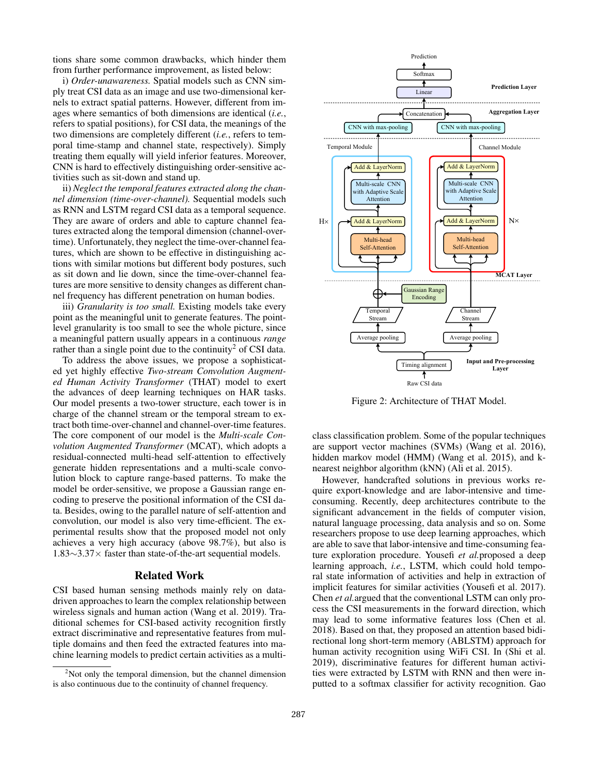tions share some common drawbacks, which hinder them from further performance improvement, as listed below:

i) *Order-unawareness.* Spatial models such as CNN simply treat CSI data as an image and use two-dimensional kernels to extract spatial patterns. However, different from images where semantics of both dimensions are identical (*i.e.*, refers to spatial positions), for CSI data, the meanings of the two dimensions are completely different (*i.e.*, refers to temporal time-stamp and channel state, respectively). Simply treating them equally will yield inferior features. Moreover, CNN is hard to effectively distinguishing order-sensitive activities such as sit-down and stand up.

ii) *Neglect the temporal features extracted along the channel dimension (time-over-channel).* Sequential models such as RNN and LSTM regard CSI data as a temporal sequence. They are aware of orders and able to capture channel features extracted along the temporal dimension (channel-overtime). Unfortunately, they neglect the time-over-channel features, which are shown to be effective in distinguishing actions with similar motions but different body postures, such as sit down and lie down, since the time-over-channel features are more sensitive to density changes as different channel frequency has different penetration on human bodies.

iii) *Granularity is too small.* Existing models take every point as the meaningful unit to generate features. The pointlevel granularity is too small to see the whole picture, since a meaningful pattern usually appears in a continuous *range* rather than a single point due to the continuity<sup>2</sup> of CSI data.

To address the above issues, we propose a sophisticated yet highly effective *Two-stream Convolution Augmented Human Activity Transformer* (THAT) model to exert the advances of deep learning techniques on HAR tasks. Our model presents a two-tower structure, each tower is in charge of the channel stream or the temporal stream to extract both time-over-channel and channel-over-time features. The core component of our model is the *Multi-scale Convolution Augmented Transformer* (MCAT), which adopts a residual-connected multi-head self-attention to effectively generate hidden representations and a multi-scale convolution block to capture range-based patterns. To make the model be order-sensitive, we propose a Gaussian range encoding to preserve the positional information of the CSI data. Besides, owing to the parallel nature of self-attention and convolution, our model is also very time-efficient. The experimental results show that the proposed model not only achieves a very high accuracy (above 98.7%), but also is 1.83∼3.37× faster than state-of-the-art sequential models.

# Related Work

CSI based human sensing methods mainly rely on datadriven approaches to learn the complex relationship between wireless signals and human action (Wang et al. 2019). Traditional schemes for CSI-based activity recognition firstly extract discriminative and representative features from multiple domains and then feed the extracted features into machine learning models to predict certain activities as a multi-



Figure 2: Architecture of THAT Model.

class classification problem. Some of the popular techniques are support vector machines (SVMs) (Wang et al. 2016), hidden markov model (HMM) (Wang et al. 2015), and knearest neighbor algorithm (kNN) (Ali et al. 2015).

However, handcrafted solutions in previous works require export-knowledge and are labor-intensive and timeconsuming. Recently, deep architectures contribute to the significant advancement in the fields of computer vision, natural language processing, data analysis and so on. Some researchers propose to use deep learning approaches, which are able to save that labor-intensive and time-consuming feature exploration procedure. Yousefi *et al.*proposed a deep learning approach, *i.e.*, LSTM, which could hold temporal state information of activities and help in extraction of implicit features for similar activities (Yousefi et al. 2017). Chen *et al.*argued that the conventional LSTM can only process the CSI measurements in the forward direction, which may lead to some informative features loss (Chen et al. 2018). Based on that, they proposed an attention based bidirectional long short-term memory (ABLSTM) approach for human activity recognition using WiFi CSI. In (Shi et al. 2019), discriminative features for different human activities were extracted by LSTM with RNN and then were inputted to a softmax classifier for activity recognition. Gao

<sup>&</sup>lt;sup>2</sup>Not only the temporal dimension, but the channel dimension is also continuous due to the continuity of channel frequency.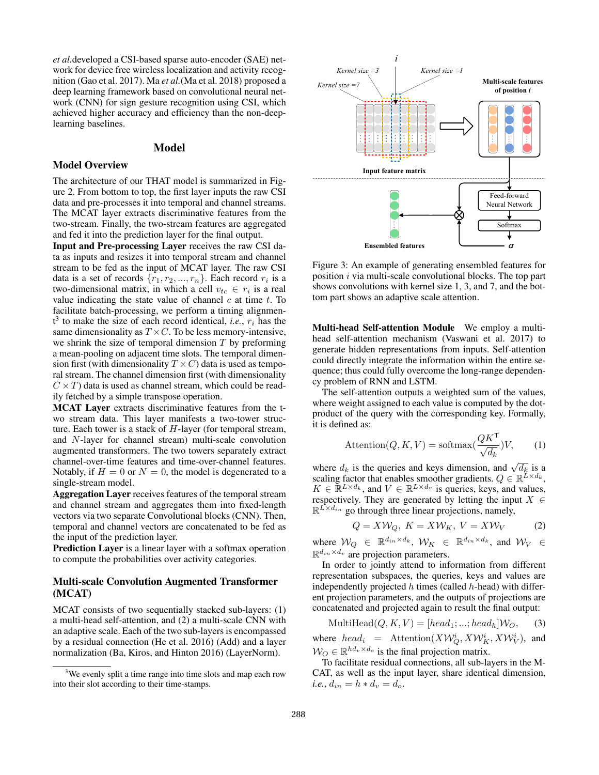*et al.*developed a CSI-based sparse auto-encoder (SAE) network for device free wireless localization and activity recognition (Gao et al. 2017). Ma *et al.*(Ma et al. 2018) proposed a deep learning framework based on convolutional neural network (CNN) for sign gesture recognition using CSI, which achieved higher accuracy and efficiency than the non-deeplearning baselines.

# Model

#### Model Overview

The architecture of our THAT model is summarized in Figure 2. From bottom to top, the first layer inputs the raw CSI data and pre-processes it into temporal and channel streams. The MCAT layer extracts discriminative features from the two-stream. Finally, the two-stream features are aggregated and fed it into the prediction layer for the final output.

Input and Pre-processing Layer receives the raw CSI data as inputs and resizes it into temporal stream and channel stream to be fed as the input of MCAT layer. The raw CSI data is a set of records  $\{r_1, r_2, ..., r_n\}$ . Each record  $r_i$  is a two-dimensional matrix, in which a cell  $v_{tc} \in r_i$  is a real value indicating the state value of channel  $c$  at time  $t$ . To facilitate batch-processing, we perform a timing alignmen $t^3$  to make the size of each record identical, *i.e.*,  $r_i$  has the same dimensionality as  $T \times C$ . To be less memory-intensive, we shrink the size of temporal dimension  $T$  by preforming a mean-pooling on adjacent time slots. The temporal dimension first (with dimensionality  $T \times C$ ) data is used as temporal stream. The channel dimension first (with dimensionality  $C \times T$ ) data is used as channel stream, which could be readily fetched by a simple transpose operation. **Model Overview Model Coverview Model Coverview Model Coverview The architecture of our FHAT model is summarized in Figure 2. From bottom to top, the first layer inputs the taw CSI due to Strain their time-processes it in** 

MCAT Layer extracts discriminative features from the two stream data. This layer manifests a two-tower structure. Each tower is a stack of  $H$ -layer (for temporal stream, and N-layer for channel stream) multi-scale convolution augmented transformers. The two towers separately extract channel-over-time features and time-over-channel features. Notably, if  $H = 0$  or  $N = 0$ , the model is degenerated to a single-stream model.

Aggregation Layer receives features of the temporal stream and channel stream and aggregates them into fixed-length vectors via two separate Convolutional blocks (CNN). Then, temporal and channel vectors are concatenated to be fed as the input of the prediction layer.

Prediction Layer is a linear layer with a softmax operation to compute the probabilities over activity categories.

# Multi-scale Convolution Augmented Transformer (MCAT)

MCAT consists of two sequentially stacked sub-layers: (1) a multi-head self-attention, and (2) a multi-scale CNN with an adaptive scale. Each of the two sub-layers is encompassed by a residual connection (He et al. 2016) (Add) and a layer normalization (Ba, Kiros, and Hinton 2016) (LayerNorm).



Figure 3: An example of generating ensembled features for position i via multi-scale convolutional blocks. The top part shows convolutions with kernel size 1, 3, and 7, and the bottom part shows an adaptive scale attention.

Multi-head Self-attention Module We employ a multihead self-attention mechanism (Vaswani et al. 2017) to generate hidden representations from inputs. Self-attention could directly integrate the information within the entire sequence; thus could fully overcome the long-range dependency problem of RNN and LSTM.

The self-attention outputs a weighted sum of the values, where weight assigned to each value is computed by the dotproduct of the query with the corresponding key. Formally, it is defined as:

$$
Attention(Q, K, V) = softmax(\frac{QK^{\mathsf{T}}}{\sqrt{d_k}})V,
$$
 (1)

where  $d_k$  is the queries and keys dimension, and  $\sqrt{d_k}$  is a scaling factor that enables smoother gradients.  $Q \in \mathbb{R}^{\tilde{L} \times d_k}$ ,  $K \in \mathbb{R}^{L \times d_k}$ , and  $V \in \mathbb{R}^{L \times d_v}$  is queries, keys, and values, respectively. They are generated by letting the input  $X \in$  $\mathbb{R}^{L \times d_{in}}$  go through three linear projections, namely,

$$
Q = X \mathcal{W}_Q, K = X \mathcal{W}_K, V = X \mathcal{W}_V \tag{2}
$$

where  $W_Q \in \mathbb{R}^{d_{in} \times d_k}$ ,  $W_K \in \mathbb{R}^{d_{in} \times d_k}$ , and  $W_V \in$  $\mathbb{R}^{d_{in} \times d_v}$  are projection parameters.

In order to jointly attend to information from different representation subspaces, the queries, keys and values are independently projected  $h$  times (called  $h$ -head) with different projection parameters, and the outputs of projections are concatenated and projected again to result the final output:

$$
\text{MultiHead}(Q, K, V) = [head_1; \dots; head_h] \mathcal{W}_O,\qquad(3)
$$

where  $head_i$  = Attention $(XW_Q^i, XW_K^i, XW_V^i)$ , and  $W_O \in \mathbb{R}^{hd_v \times d_o}$  is the final projection matrix.

To facilitate residual connections, all sub-layers in the M-CAT, as well as the input layer, share identical dimension, *i.e.*,  $d_{in} = h * d_v = d_o$ .

<sup>&</sup>lt;sup>3</sup>We evenly split a time range into time slots and map each row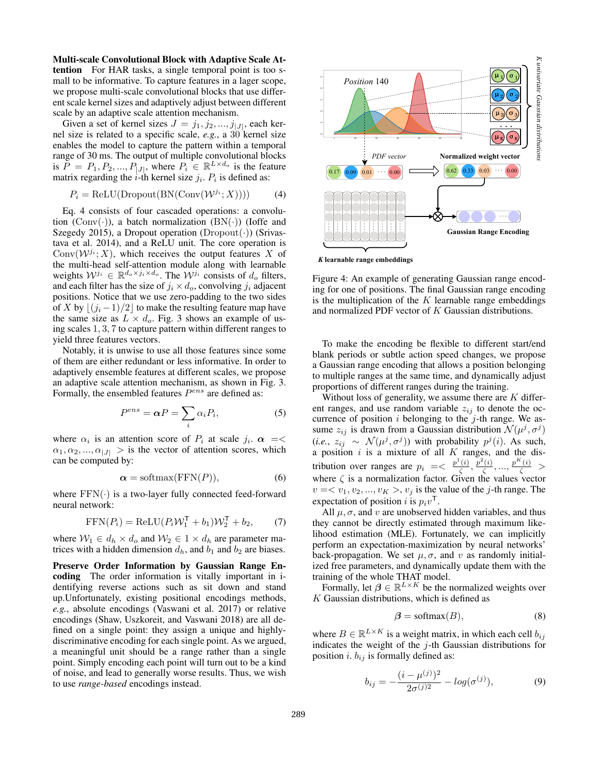Multi-scale Convolutional Block with Adaptive Scale Attention For HAR tasks, a single temporal point is too small to be informative. To capture features in a lager scope, we propose multi-scale convolutional blocks that use different scale kernel sizes and adaptively adjust between different scale by an adaptive scale attention mechanism.

Given a set of kernel sizes  $J = j_1, j_2, ..., j_{|J|}$ , each kernel size is related to a specific scale, *e.g.*, a 30 kernel size enables the model to capture the pattern within a temporal range of 30 ms. The output of multiple convolutional blocks is  $\overline{P} = P_1, P_2, ..., P_{|J|}$ , where  $P_i \in \mathbb{R}^{L \times d_o}$  is the feature matrix regarding the *i*-th kernel size  $j_i$ .  $P_i$  is defined as:

$$
P_i = \text{ReLU}(\text{Dropout}(\text{BN}(\text{Conv}(\mathcal{W}^{j_i}; X)))) \tag{4}
$$

Eq. 4 consists of four cascaded operations: a convolution  $(Conv(\cdot))$ , a batch normalization  $(BN(\cdot))$  (Ioffe and Szegedy 2015), a Dropout operation ( $Dropout(\cdot)$ ) (Srivastava et al. 2014), and a ReLU unit. The core operation is  $Conv(\mathcal{W}^{j_i}; X)$ , which receives the output features X of the multi-head self-attention module along with learnable weights  $W^{j_i} \in \mathbb{R}^{d_o \times j_i \times d_o}$ . The  $W^{j_i}$  consists of  $d_o$  filters, and each filter has the size of  $j_i \times d_o$ , convolving  $j_i$  adjacent positions. Notice that we use zero-padding to the two sides of X by  $|(j_i - 1)/2|$  to make the resulting feature map have the same size as  $L \times d_o$ . Fig. 3 shows an example of using scales 1, 3, 7 to capture pattern within different ranges to yield three features vectors.

Notably, it is unwise to use all those features since some of them are either redundant or less informative. In order to adaptively ensemble features at different scales, we propose an adaptive scale attention mechanism, as shown in Fig. 3. Formally, the ensembled features  $P^{ens}$  are defined as:

$$
P^{ens} = \alpha P = \sum_{i} \alpha_i P_i, \tag{5}
$$

where  $\alpha_i$  is an attention score of  $P_i$  at scale  $j_i$ .  $\alpha = \leq$  $\alpha_1, \alpha_2, ..., \alpha_{|J|} >$  is the vector of attention scores, which can be computed by:

$$
\alpha = \text{softmax}(\text{FFN}(P)),\tag{6}
$$

where  $FFN(\cdot)$  is a two-layer fully connected feed-forward neural network:

$$
FFN(P_i) = ReLU(P_iW_1^{\mathsf{T}} + b_1)W_2^{\mathsf{T}} + b_2, \qquad (7)
$$

where  $W_1 \in d_h \times d_o$  and  $W_2 \in 1 \times d_h$  are parameter matrices with a hidden dimension  $d_h$ , and  $b_1$  and  $b_2$  are biases.

Preserve Order Information by Gaussian Range Encoding The order information is vitally important in identifying reverse actions such as sit down and stand up.Unfortunately, existing positional encodings methods, *e.g.*, absolute encodings (Vaswani et al. 2017) or relative encodings (Shaw, Uszkoreit, and Vaswani 2018) are all defined on a single point: they assign a unique and highlydiscriminative encoding for each single point. As we argued, a meaningful unit should be a range rather than a single point. Simply encoding each point will turn out to be a kind of noise, and lead to generally worse results. Thus, we wish to use *range-based* encodings instead.



*K* **learnable range embeddings**

Figure 4: An example of generating Gaussian range encoding for one of positions. The final Gaussian range encoding is the multiplication of the  $K$  learnable range embeddings and normalized PDF vector of K Gaussian distributions.

To make the encoding be flexible to different start/end blank periods or subtle action speed changes, we propose a Gaussian range encoding that allows a position belonging to multiple ranges at the same time, and dynamically adjust proportions of different ranges during the training.

Without loss of generality, we assume there are  $K$  different ranges, and use random variable  $z_{ij}$  to denote the occurrence of position  $i$  belonging to the  $j$ -th range. We assume  $z_{ij}$  is drawn from a Gaussian distribution  $\mathcal{N}(\mu^j, \sigma^j)$  $(i.e., z_{ij} \sim \mathcal{N}(\mu^j, \sigma^j))$  with probability  $p^j(i)$ . As such, a position  $i$  is a mixture of all  $K$  ranges, and the distribution over ranges are  $p_i = \langle \frac{p^1(i)}{\zeta} \rangle$  $\frac{p^2(i)}{\zeta}$ ,  $\frac{p^2(i)}{\zeta}$  $\frac{p^{k}(i)}{\zeta},...,\frac{p^{K}(i)}{\zeta}$  > where  $\zeta$  is a normalization factor. Given the values vector  $v = \langle v_1, v_2, ..., v_K \rangle, v_j$  is the value of the *j*-th range. The expectation of position *i* is  $p_i v^{\mathsf{T}}$ .

All  $\mu$ ,  $\sigma$ , and v are unobserved hidden variables, and thus they cannot be directly estimated through maximum likelihood estimation (MLE). Fortunately, we can implicitly perform an expectation-maximization by neural networks' back-propagation. We set  $\mu$ ,  $\sigma$ , and v as randomly initialized free parameters, and dynamically update them with the training of the whole THAT model.

Formally, let  $\beta \in \mathbb{R}^{L \times K}$  be the normalized weights over  $K$  Gaussian distributions, which is defined as

$$
\beta = \text{softmax}(B),\tag{8}
$$

where  $B \in \mathbb{R}^{L \times K}$  is a weight matrix, in which each cell  $b_{ij}$ indicates the weight of the  $j$ -th Gaussian distributions for position *i*.  $b_{ij}$  is formally defined as:

$$
b_{ij} = -\frac{(i - \mu^{(j)})^2}{2\sigma^{(j)2}} - log(\sigma^{(j)}),
$$
\n(9)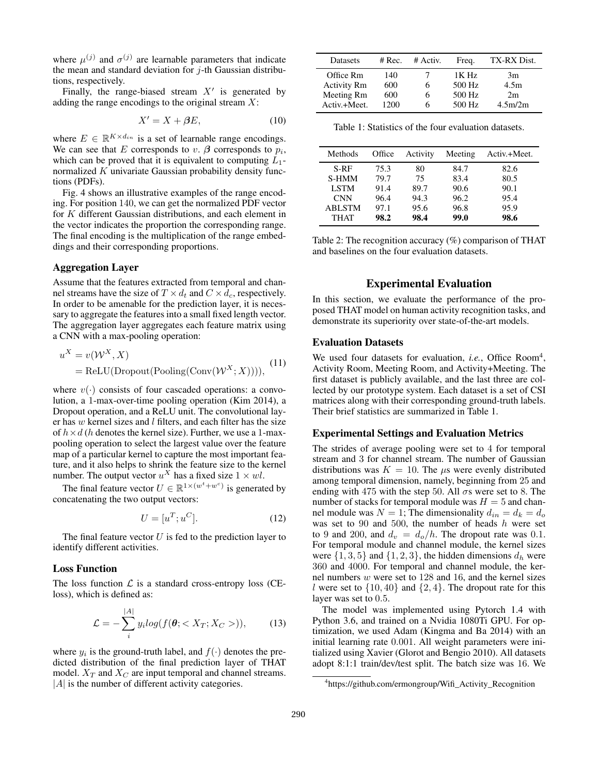where  $\mu^{(j)}$  and  $\sigma^{(j)}$  are learnable parameters that indicate the mean and standard deviation for  $j$ -th Gaussian distributions, respectively.

Finally, the range-biased stream  $X'$  is generated by adding the range encodings to the original stream  $X$ :

$$
X' = X + \beta E,\tag{10}
$$

where  $E \in \mathbb{R}^{K \times d_{in}}$  is a set of learnable range encodings. We can see that E corresponds to  $v$ .  $\beta$  corresponds to  $p_i$ , which can be proved that it is equivalent to computing  $L_1$ normalized  $K$  univariate Gaussian probability density functions (PDFs).

Fig. 4 shows an illustrative examples of the range encoding. For position 140, we can get the normalized PDF vector for K different Gaussian distributions, and each element in the vector indicates the proportion the corresponding range. The final encoding is the multiplication of the range embeddings and their corresponding proportions.

#### Aggregation Layer

Assume that the features extracted from temporal and channel streams have the size of  $T \times d_t$  and  $C \times d_c$ , respectively. In order to be amenable for the prediction layer, it is necessary to aggregate the features into a small fixed length vector. The aggregation layer aggregates each feature matrix using a CNN with a max-pooling operation:

$$
uX = v(WX, X)
$$
  
= ReLU(Dropout(Pooling(Conv(W<sup>X</sup>; X)))), (11)

where  $v(\cdot)$  consists of four cascaded operations: a convolution, a 1-max-over-time pooling operation (Kim 2014), a Dropout operation, and a ReLU unit. The convolutional layer has  $w$  kernel sizes and  $l$  filters, and each filter has the size of  $h \times d$  (h denotes the kernel size). Further, we use a 1-maxpooling operation to select the largest value over the feature map of a particular kernel to capture the most important feature, and it also helps to shrink the feature size to the kernel number. The output vector  $u^X$  has a fixed size  $1 \times w$ .

The final feature vector  $U \in \mathbb{R}^{1 \times (w^t + w^c)}$  is generated by concatenating the two output vectors:

$$
U = [u^T; u^C]. \tag{12}
$$

The final feature vector  $U$  is fed to the prediction layer to identify different activities.

#### Loss Function

The loss function  $\mathcal L$  is a standard cross-entropy loss (CEloss), which is defined as:

$$
\mathcal{L} = -\sum_{i}^{|A|} y_i log(f(\boldsymbol{\theta}; < X_T; X_C >)), \qquad (13)
$$

where  $y_i$  is the ground-truth label, and  $f(\cdot)$  denotes the predicted distribution of the final prediction layer of THAT model.  $X_T$  and  $X_C$  are input temporal and channel streams.  $|A|$  is the number of different activity categories.

| Datasets           | # $Rec.$ | # Activ. | Freq.    | TX-RX Dist. |
|--------------------|----------|----------|----------|-------------|
| Office Rm          | 140      |          | $1K$ Hz  | 3m          |
| <b>Activity Rm</b> | 600      |          | 500 Hz   | 4.5m        |
| Meeting Rm         | 600      |          | 500 Hz   | 2m          |
| Activ.+Meet.       | 1200     |          | $500$ Hz | 4.5m/2m     |

Table 1: Statistics of the four evaluation datasets.

| Methods       | Office | Activity | Meeting | Activ.+Meet. |
|---------------|--------|----------|---------|--------------|
| S-RF          | 75.3   | 80       | 84.7    | 82.6         |
| <b>S-HMM</b>  | 79.7   | 75       | 83.4    | 80.5         |
| <b>LSTM</b>   | 91.4   | 89.7     | 90.6    | 90.1         |
| <b>CNN</b>    | 96.4   | 94.3     | 96.2    | 95.4         |
| <b>ABLSTM</b> | 97.1   | 95.6     | 96.8    | 95.9         |
| <b>THAT</b>   | 98.2   | 98.4     | 99.0    | 98.6         |

Table 2: The recognition accuracy (%) comparison of THAT and baselines on the four evaluation datasets.

## Experimental Evaluation

In this section, we evaluate the performance of the proposed THAT model on human activity recognition tasks, and demonstrate its superiority over state-of-the-art models.

#### Evaluation Datasets

We used four datasets for evaluation, *i.e.*, Office Room<sup>4</sup>, Activity Room, Meeting Room, and Activity+Meeting. The first dataset is publicly available, and the last three are collected by our prototype system. Each dataset is a set of CSI matrices along with their corresponding ground-truth labels. Their brief statistics are summarized in Table 1.

#### Experimental Settings and Evaluation Metrics

The strides of average pooling were set to 4 for temporal stream and 3 for channel stream. The number of Gaussian distributions was  $K = 10$ . The  $\mu$ s were evenly distributed among temporal dimension, namely, beginning from 25 and ending with 475 with the step 50. All  $\sigma s$  were set to 8. The number of stacks for temporal module was  $H = 5$  and channel module was  $N = 1$ ; The dimensionality  $d_{in} = d_k = d_o$ was set to 90 and 500, the number of heads  $h$  were set to 9 and 200, and  $d_v = d_o/h$ . The dropout rate was 0.1. For temporal module and channel module, the kernel sizes were  $\{1, 3, 5\}$  and  $\{1, 2, 3\}$ , the hidden dimensions  $d_h$  were 360 and 4000. For temporal and channel module, the kernel numbers w were set to 128 and 16, and the kernel sizes l were set to  $\{10, 40\}$  and  $\{2, 4\}$ . The dropout rate for this layer was set to 0.5.

The model was implemented using Pytorch 1.4 with Python 3.6, and trained on a Nvidia 1080Ti GPU. For optimization, we used Adam (Kingma and Ba 2014) with an initial learning rate 0.001. All weight parameters were initialized using Xavier (Glorot and Bengio 2010). All datasets adopt 8:1:1 train/dev/test split. The batch size was 16. We

<sup>4</sup> https://github.com/ermongroup/Wifi\_Activity\_Recognition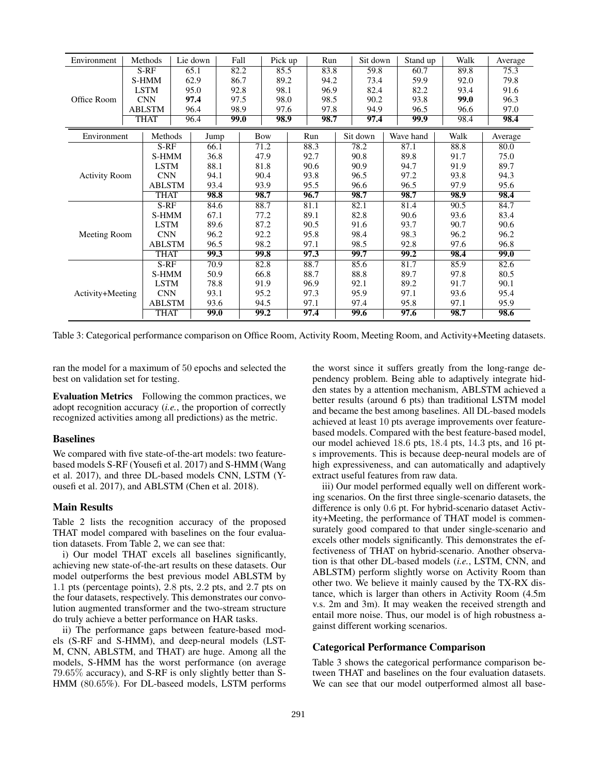| Environment          |               | Methods       |      | Lie down    |      | Fall | Pick up |      | Run  |              |          | Sit down<br>Stand up |           |              | Walk | Average |  |
|----------------------|---------------|---------------|------|-------------|------|------|---------|------|------|--------------|----------|----------------------|-----------|--------------|------|---------|--|
|                      |               | $S-RF$        |      | 65.1        |      | 82.2 | 85.5    |      | 83.8 | 59.8         |          |                      | 60.7      |              | 89.8 | 75.3    |  |
|                      |               | S-HMM         | 62.9 |             |      | 86.7 | 89.2    |      | 94.2 |              | 73.4     |                      | 59.9      |              | 92.0 | 79.8    |  |
|                      |               | <b>LSTM</b>   |      | 95.0        |      | 92.8 | 98.1    |      | 96.9 |              | 82.4     |                      | 82.2      |              | 93.4 | 91.6    |  |
| Office Room          |               | <b>CNN</b>    |      | 97.4        |      | 97.5 | 98.0    |      | 98.5 |              | 90.2     |                      | 93.8      |              | 99.0 | 96.3    |  |
|                      |               | <b>ABLSTM</b> | 96.4 |             | 98.9 |      |         | 97.6 |      | 97.8         | 94.9     |                      | 96.5      |              | 96.6 | 97.0    |  |
|                      |               | <b>THAT</b>   |      | 96.4        |      | 99.0 | 98.9    |      | 98.7 |              | 97.4     |                      | 99.9      |              | 98.4 | 98.4    |  |
| Environment          |               | Methods       |      | Jump        |      | Bow  |         |      | Run  |              | Sit down |                      | Wave hand |              | Walk | Average |  |
|                      |               | $S-RF$        |      | 66.1        |      |      | 71.2    |      | 88.3 |              | 78.2     |                      | 87.1      |              | 88.8 | 80.0    |  |
|                      |               | S-HMM         |      | 36.8        |      |      | 47.9    |      | 92.7 |              | 90.8     |                      | 89.8      |              | 91.7 | 75.0    |  |
|                      |               | <b>LSTM</b>   |      | 88.1        |      |      | 81.8    |      | 90.6 |              | 90.9     |                      | 94.7      |              | 91.9 | 89.7    |  |
| <b>Activity Room</b> | <b>CNN</b>    |               | 94.1 |             |      | 90.4 |         | 93.8 |      | 96.5<br>96.6 |          | 97.2<br>96.5         |           | 93.8<br>97.9 | 94.3 |         |  |
|                      | <b>ABLSTM</b> |               | 93.4 |             |      | 93.9 |         | 95.5 |      |              |          |                      |           |              | 95.6 |         |  |
|                      |               | <b>THAT</b>   |      | 98.8        |      |      | 98.7    |      | 96.7 |              | 98.7     |                      | 98.7      |              | 98.9 | 98.4    |  |
|                      |               | $S-RF$        |      | 84.6        |      |      | 88.7    |      | 81.1 |              | 82.1     |                      | 81.4      |              | 90.5 | 84.7    |  |
|                      |               | S-HMM         |      | 67.1        |      |      | 77.2    |      | 89.1 |              | 82.8     |                      | 90.6      |              | 93.6 | 83.4    |  |
|                      |               | <b>LSTM</b>   |      | 89.6        |      |      | 87.2    |      | 90.5 |              | 91.6     |                      | 93.7      |              | 90.7 | 90.6    |  |
| Meeting Room         |               | <b>CNN</b>    |      | 96.2        |      |      | 92.2    |      | 95.8 |              | 98.4     |                      | 98.3      |              | 96.2 | 96.2    |  |
|                      | <b>ABLSTM</b> |               |      | 96.5        |      | 98.2 |         | 97.1 |      |              | 98.5     |                      | 92.8      |              | 97.6 | 96.8    |  |
|                      |               | <b>THAT</b>   |      | 99.3        |      |      | 99.8    |      | 97.3 |              | 99.7     |                      | 99.2      |              | 98.4 | 99.0    |  |
|                      |               | $S-RF$        |      | 70.9        |      |      | 82.8    |      | 88.7 |              | 85.6     |                      | 81.7      |              | 85.9 | 82.6    |  |
|                      |               | S-HMM         |      | 50.9        |      |      | 66.8    |      | 88.7 |              | 88.8     |                      | 89.7      |              | 97.8 | 80.5    |  |
|                      | <b>LSTM</b>   |               | 78.8 |             |      | 91.9 |         | 96.9 |      | 92.1         |          | 89.2                 |           | 91.7         | 90.1 |         |  |
| Activity+Meeting     |               | <b>CNN</b>    |      | 93.1        |      |      | 95.2    |      | 97.3 |              | 95.9     |                      | 97.1      |              | 93.6 | 95.4    |  |
|                      |               | <b>ABLSTM</b> |      | 93.6        |      |      | 94.5    |      | 97.1 |              | 97.4     |                      | 95.8      |              | 97.1 | 95.9    |  |
|                      |               | <b>THAT</b>   |      | <b>99.0</b> |      |      | 99.2    |      | 97.4 |              | 99.6     |                      | 97.6      |              | 98.7 | 98.6    |  |

Table 3: Categorical performance comparison on Office Room, Activity Room, Meeting Room, and Activity+Meeting datasets.

ran the model for a maximum of 50 epochs and selected the best on validation set for testing.

Evaluation Metrics Following the common practices, we adopt recognition accuracy (*i.e.*, the proportion of correctly recognized activities among all predictions) as the metric.

#### Baselines

We compared with five state-of-the-art models: two featurebased models S-RF (Yousefi et al. 2017) and S-HMM (Wang et al. 2017), and three DL-based models CNN, LSTM (Yousefi et al. 2017), and ABLSTM (Chen et al. 2018).

## Main Results

Table 2 lists the recognition accuracy of the proposed THAT model compared with baselines on the four evaluation datasets. From Table 2, we can see that:

i) Our model THAT excels all baselines significantly, achieving new state-of-the-art results on these datasets. Our model outperforms the best previous model ABLSTM by 1.1 pts (percentage points), 2.8 pts, 2.2 pts, and 2.7 pts on the four datasets, respectively. This demonstrates our convolution augmented transformer and the two-stream structure do truly achieve a better performance on HAR tasks.

ii) The performance gaps between feature-based models (S-RF and S-HMM), and deep-neural models (LST-M, CNN, ABLSTM, and THAT) are huge. Among all the models, S-HMM has the worst performance (on average 79.65% accuracy), and S-RF is only slightly better than S-HMM (80.65%). For DL-baseed models, LSTM performs the worst since it suffers greatly from the long-range dependency problem. Being able to adaptively integrate hidden states by a attention mechanism, ABLSTM achieved a better results (around 6 pts) than traditional LSTM model and became the best among baselines. All DL-based models achieved at least 10 pts average improvements over featurebased models. Compared with the best feature-based model, our model achieved 18.6 pts, 18.4 pts, 14.3 pts, and 16 pts improvements. This is because deep-neural models are of high expressiveness, and can automatically and adaptively extract useful features from raw data.

iii) Our model performed equally well on different working scenarios. On the first three single-scenario datasets, the difference is only 0.6 pt. For hybrid-scenario dataset Activity+Meeting, the performance of THAT model is commensurately good compared to that under single-scenario and excels other models significantly. This demonstrates the effectiveness of THAT on hybrid-scenario. Another observation is that other DL-based models (*i.e.*, LSTM, CNN, and ABLSTM) perform slightly worse on Activity Room than other two. We believe it mainly caused by the TX-RX distance, which is larger than others in Activity Room (4.5m v.s. 2m and 3m). It may weaken the received strength and entail more noise. Thus, our model is of high robustness against different working scenarios.

#### Categorical Performance Comparison

Table 3 shows the categorical performance comparison between THAT and baselines on the four evaluation datasets. We can see that our model outperformed almost all base-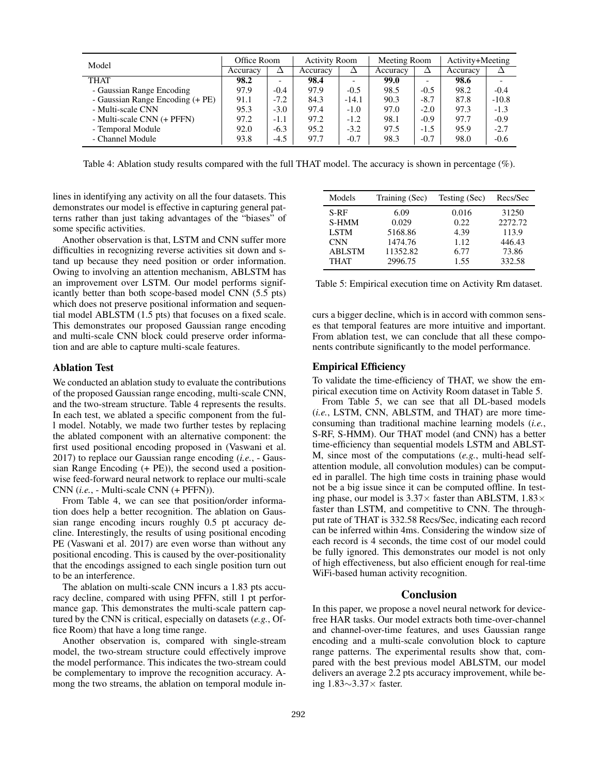| Model                            | Office Room |        | <b>Activity Room</b> |         | Meeting Room |        | Activity+Meeting |         |  |
|----------------------------------|-------------|--------|----------------------|---------|--------------|--------|------------------|---------|--|
|                                  | Accuracy    | Δ      | Accuracy             |         | Accuracy     | Δ      | Accuracy         |         |  |
| <b>THAT</b>                      | 98.2        |        | 98.4                 |         | 99.0         | -      | 98.6             |         |  |
| - Gaussian Range Encoding        | 97.9        | $-0.4$ | 97.9                 | $-0.5$  | 98.5         | $-0.5$ | 98.2             | $-0.4$  |  |
| - Gaussian Range Encoding (+ PE) | 91.1        | $-7.2$ | 84.3                 | $-14.1$ | 90.3         | $-8.7$ | 87.8             | $-10.8$ |  |
| - Multi-scale CNN                | 95.3        | $-3.0$ | 97.4                 | $-1.0$  | 97.0         | $-2.0$ | 97.3             | $-1.3$  |  |
| - Multi-scale CNN (+ PFFN)       | 97.2        | $-1.1$ | 97.2                 | $-1.2$  | 98.1         | $-0.9$ | 97.7             | $-0.9$  |  |
| - Temporal Module                | 92.0        | $-6.3$ | 95.2                 | $-3.2$  | 97.5         | $-1.5$ | 95.9             | $-2.7$  |  |
| - Channel Module                 | 93.8        | $-4.5$ | 97.7                 | $-0.7$  | 98.3         | $-0.7$ | 98.0             | $-0.6$  |  |

Table 4: Ablation study results compared with the full THAT model. The accuracy is shown in percentage (%).

lines in identifying any activity on all the four datasets. This demonstrates our model is effective in capturing general patterns rather than just taking advantages of the "biases" of some specific activities.

Another observation is that, LSTM and CNN suffer more difficulties in recognizing reverse activities sit down and stand up because they need position or order information. Owing to involving an attention mechanism, ABLSTM has an improvement over LSTM. Our model performs significantly better than both scope-based model CNN (5.5 pts) which does not preserve positional information and sequential model ABLSTM (1.5 pts) that focuses on a fixed scale. This demonstrates our proposed Gaussian range encoding and multi-scale CNN block could preserve order information and are able to capture multi-scale features.

## Ablation Test

We conducted an ablation study to evaluate the contributions of the proposed Gaussian range encoding, multi-scale CNN, and the two-stream structure. Table 4 represents the results. In each test, we ablated a specific component from the full model. Notably, we made two further testes by replacing the ablated component with an alternative component: the first used positional encoding proposed in (Vaswani et al. 2017) to replace our Gaussian range encoding (*i.e.*, - Gaussian Range Encoding (+ PE)), the second used a positionwise feed-forward neural network to replace our multi-scale CNN (*i.e.*, - Multi-scale CNN (+ PFFN)).

From Table 4, we can see that position/order information does help a better recognition. The ablation on Gaussian range encoding incurs roughly 0.5 pt accuracy decline. Interestingly, the results of using positional encoding PE (Vaswani et al. 2017) are even worse than without any positional encoding. This is caused by the over-positionality that the encodings assigned to each single position turn out to be an interference.

The ablation on multi-scale CNN incurs a 1.83 pts accuracy decline, compared with using PFFN, still 1 pt performance gap. This demonstrates the multi-scale pattern captured by the CNN is critical, especially on datasets (*e.g.*, Office Room) that have a long time range.

Another observation is, compared with single-stream model, the two-stream structure could effectively improve the model performance. This indicates the two-stream could be complementary to improve the recognition accuracy. Among the two streams, the ablation on temporal module in-

| Models        | Training (Sec) | Testing (Sec) | Recs/Sec |
|---------------|----------------|---------------|----------|
| S-RF          | 6.09           | 0.016         | 31250    |
| S-HMM         | 0.029          | 0.22          | 2272.72  |
| <b>LSTM</b>   | 5168.86        | 4.39          | 113.9    |
| <b>CNN</b>    | 1474.76        | 1.12          | 446.43   |
| <b>ABLSTM</b> | 11352.82       | 6.77          | 73.86    |
| <b>THAT</b>   | 2996.75        | 1.55          | 332.58   |

Table 5: Empirical execution time on Activity Rm dataset.

curs a bigger decline, which is in accord with common senses that temporal features are more intuitive and important. From ablation test, we can conclude that all these components contribute significantly to the model performance.

#### Empirical Efficiency

To validate the time-efficiency of THAT, we show the empirical execution time on Activity Room dataset in Table 5.

From Table 5, we can see that all DL-based models (*i.e.*, LSTM, CNN, ABLSTM, and THAT) are more timeconsuming than traditional machine learning models (*i.e.*, S-RF, S-HMM). Our THAT model (and CNN) has a better time-efficiency than sequential models LSTM and ABLST-M, since most of the computations (*e.g.*, multi-head selfattention module, all convolution modules) can be computed in parallel. The high time costs in training phase would not be a big issue since it can be computed offline. In testing phase, our model is  $3.37\times$  faster than ABLSTM,  $1.83\times$ faster than LSTM, and competitive to CNN. The throughput rate of THAT is 332.58 Recs/Sec, indicating each record can be inferred within 4ms. Considering the window size of each record is 4 seconds, the time cost of our model could be fully ignored. This demonstrates our model is not only of high effectiveness, but also efficient enough for real-time WiFi-based human activity recognition.

#### Conclusion

In this paper, we propose a novel neural network for devicefree HAR tasks. Our model extracts both time-over-channel and channel-over-time features, and uses Gaussian range encoding and a multi-scale convolution block to capture range patterns. The experimental results show that, compared with the best previous model ABLSTM, our model delivers an average 2.2 pts accuracy improvement, while being 1.83∼3.37× faster.